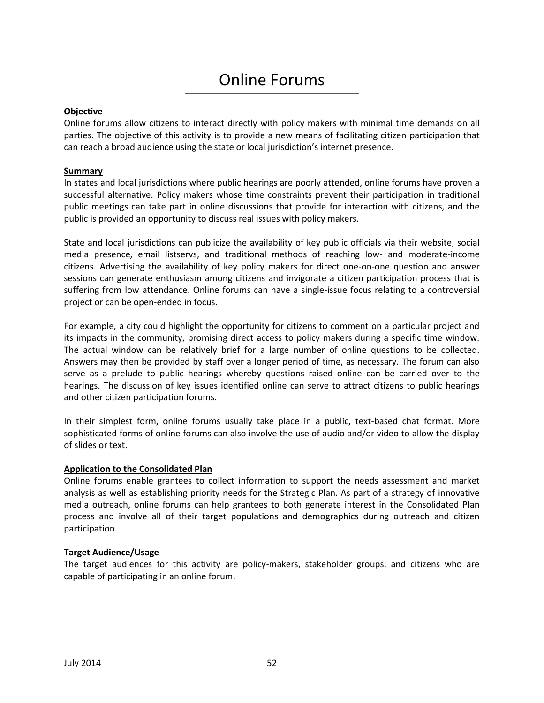# Online Forums

## **Objective**

Online forums allow citizens to interact directly with policy makers with minimal time demands on all parties. The objective of this activity is to provide a new means of facilitating citizen participation that can reach a broad audience using the state or local jurisdiction's internet presence.

## **Summary**

In states and local jurisdictions where public hearings are poorly attended, online forums have proven a successful alternative. Policy makers whose time constraints prevent their participation in traditional public meetings can take part in online discussions that provide for interaction with citizens, and the public is provided an opportunity to discuss real issues with policy makers.

State and local jurisdictions can publicize the availability of key public officials via their website, social media presence, email listservs, and traditional methods of reaching low- and moderate-income citizens. Advertising the availability of key policy makers for direct one-on-one question and answer sessions can generate enthusiasm among citizens and invigorate a citizen participation process that is suffering from low attendance. Online forums can have a single-issue focus relating to a controversial project or can be open-ended in focus.

For example, a city could highlight the opportunity for citizens to comment on a particular project and its impacts in the community, promising direct access to policy makers during a specific time window. The actual window can be relatively brief for a large number of online questions to be collected. Answers may then be provided by staff over a longer period of time, as necessary. The forum can also serve as a prelude to public hearings whereby questions raised online can be carried over to the hearings. The discussion of key issues identified online can serve to attract citizens to public hearings and other citizen participation forums.

In their simplest form, online forums usually take place in a public, text-based chat format. More sophisticated forms of online forums can also involve the use of audio and/or video to allow the display of slides or text.

#### **Application to the Consolidated Plan**

Online forums enable grantees to collect information to support the needs assessment and market analysis as well as establishing priority needs for the Strategic Plan. As part of a strategy of innovative media outreach, online forums can help grantees to both generate interest in the Consolidated Plan process and involve all of their target populations and demographics during outreach and citizen participation.

#### **Target Audience/Usage**

The target audiences for this activity are policy-makers, stakeholder groups, and citizens who are capable of participating in an online forum.